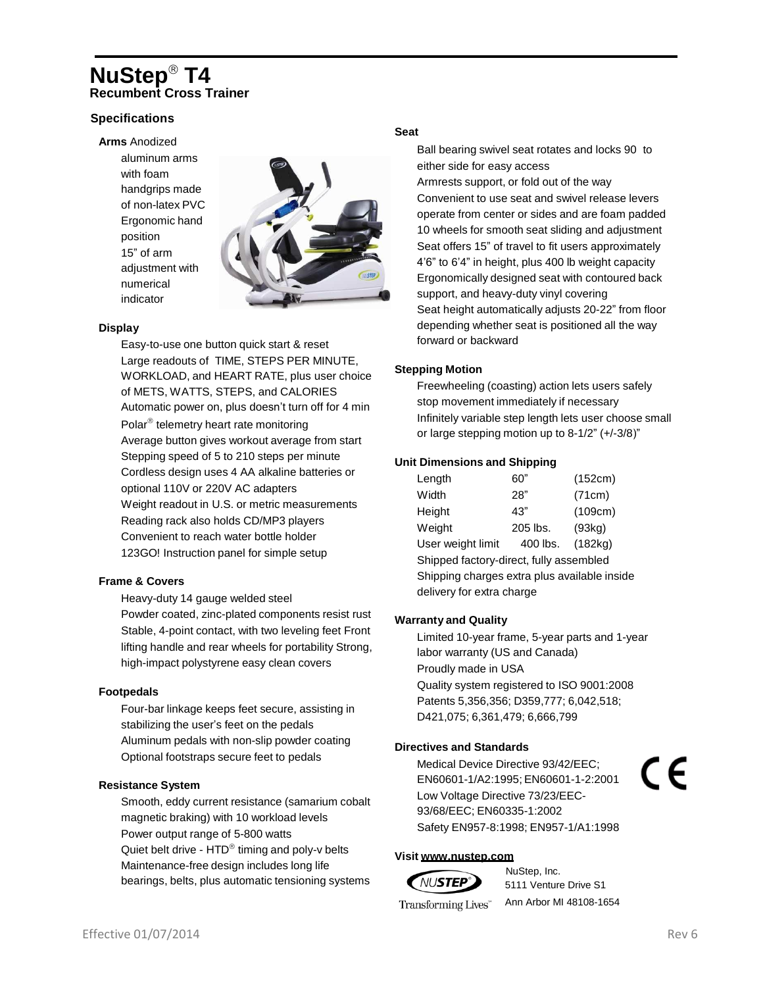## **NuStep T4 Recumbent Cross Trainer**

## **Specifications**

#### **Arms** Anodized

aluminum arms with foam handgrips made of non-latex PVC Ergonomic hand position 15" of arm adjustment with numerical indicator



#### **Display**

Easy-to-use one button quick start & reset Large readouts of TIME, STEPS PER MINUTE, WORKLOAD, and HEART RATE, plus user choice of METS, WATTS, STEPS, and CALORIES Automatic power on, plus doesn't turn off for 4 min Polar<sup>®</sup> telemetry heart rate monitoring Average button gives workout average from start Stepping speed of 5 to 210 steps per minute Cordless design uses 4 AA alkaline batteries or optional 110V or 220V AC adapters Weight readout in U.S. or metric measurements Reading rack also holds CD/MP3 players Convenient to reach water bottle holder 123GO! Instruction panel for simple setup

#### **Frame & Covers**

Heavy-duty 14 gauge welded steel Powder coated, zinc-plated components resist rust Stable, 4-point contact, with two leveling feet Front lifting handle and rear wheels for portability Strong, high-impact polystyrene easy clean covers

#### **Footpedals**

Four-bar linkage keeps feet secure, assisting in stabilizing the user's feet on the pedals Aluminum pedals with non-slip powder coating Optional footstraps secure feet to pedals

#### **Resistance System**

Smooth, eddy current resistance (samarium cobalt magnetic braking) with 10 workload levels Power output range of 5-800 watts Quiet belt drive -  $HTD^{\circledast}$  timing and poly-v belts Maintenance-free design includes long life bearings, belts, plus automatic tensioning systems

#### **Seat**

Ball bearing swivel seat rotates and locks 90 to either side for easy access Armrests support, or fold out of the way Convenient to use seat and swivel release levers operate from center or sides and are foam padded 10 wheels for smooth seat sliding and adjustment Seat offers 15" of travel to fit users approximately 4'6" to 6'4" in height, plus 400 lb weight capacity Ergonomically designed seat with contoured back support, and heavy-duty vinyl covering Seat height automatically adjusts 20-22" from floor depending whether seat is positioned all the way forward or backward

### **Stepping Motion**

Freewheeling (coasting) action lets users safely stop movement immediately if necessary Infinitely variable step length lets user choose small or large stepping motion up to 8-1/2" (+/-3/8)"

#### **Unit Dimensions and Shipping**

| Length                                       | 60"      | (152cm) |  |  |  |  |  |  |  |  |
|----------------------------------------------|----------|---------|--|--|--|--|--|--|--|--|
| Width                                        | 28"      | (71cm)  |  |  |  |  |  |  |  |  |
| Height                                       | 43"      | (109cm) |  |  |  |  |  |  |  |  |
| Weight                                       | 205 lbs. | (93kq)  |  |  |  |  |  |  |  |  |
| User weight limit                            | 400 lbs. | (182kg) |  |  |  |  |  |  |  |  |
| Shipped factory-direct, fully assembled      |          |         |  |  |  |  |  |  |  |  |
| Shipping charges extra plus available inside |          |         |  |  |  |  |  |  |  |  |
| delivery for extra charge                    |          |         |  |  |  |  |  |  |  |  |

### **Warranty and Quality**

Limited 10-year frame, 5-year parts and 1-year labor warranty (US and Canada) Proudly made in USA Quality system registered to ISO 9001:2008 Patents 5,356,356; D359,777; 6,042,518; D421,075; 6,361,479; 6,666,799

### **Directives and Standards**

Medical Device Directive 93/42/EEC; EN60601-1/A2:1995; EN60601-1-2:2001 Low Voltage Directive 73/23/EEC-93/68/EEC; EN60335-1:2002 Safety EN957-8:1998; EN957-1/A1:1998

#### **Visit [www.nustep.com](http://www.nustep.com/)**

# *NUSTEP*

NuStep, Inc. 5111 Venture Drive S1

Transforming Lives<sup>\*\*</sup>

Ann Arbor MI 48108-1654

( F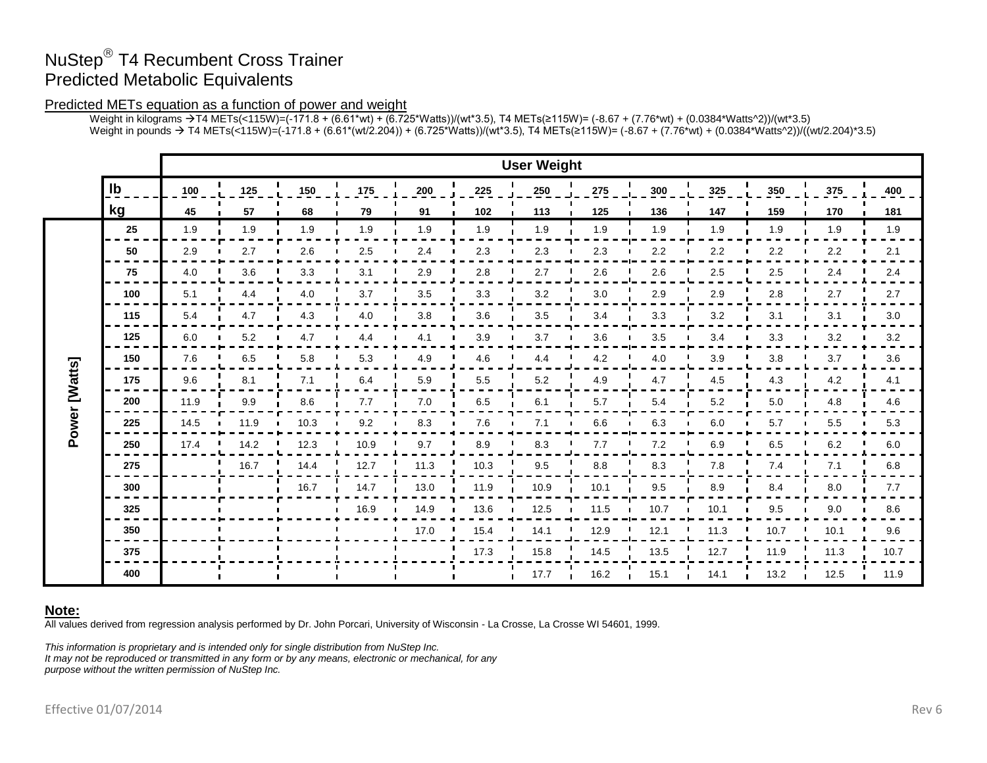# NuStep® T4 Recumbent Cross Trainer Predicted Metabolic Equivalents

## Predicted METs equation as a function of power and weight

Weight in kilograms →T4 METs(<115W)=(-171.8 + (6.61\*wt) + (6.725\*Watts))/(wt\*3.5), T4 METs(≥115W)= (-8.67 + (7.76\*wt) + (0.0384\*Watts^2))/(wt\*3.5) Weight in pounds → T4 METs(<115W)=(-171.8 + (6.61\*(wt/2.204)) + (6.725\*Watts))/(wt\*3.5), T4 METs(≥115W)= (-8.67 + (7.76\*wt) + (0.0384\*Watts^2))/((wt/2.204)\*3.5)

|               |     | <b>User Weight</b> |      |      |      |      |              |      |      |      |         |      |         |      |
|---------------|-----|--------------------|------|------|------|------|--------------|------|------|------|---------|------|---------|------|
|               | Ib  | 100                | 125  | 150  | 175  | 200  | 225          | 250  | 275  | 300  | 325     | 350  | 375     | 400  |
|               | kg  | 45                 | 57   | 68   | 79   | 91   | 102          | 113  | 125  | 136  | 147     | 159  | 170     | 181  |
|               | 25  | 1.9                | 1.9  | 1.9  | 1.9  | 1.9  | 1.9          | 1.9  | 1.9  | 1.9  | 1.9     | 1.9  | 1.9     | 1.9  |
|               | 50  | 2.9                | 2.7  | 2.6  | 2.5  | 2.4  | 2.3          | 2.3  | 2.3  | 2.2  | 2.2     | 2.2  | 2.2     | 2.1  |
|               | 75  | 4.0                | 3.6  | 3.3  | 3.1  | 2.9  | 2.8          | 2.7  | 2.6  | 2.6  | 2.5     | 2.5  | 2.4     | 2.4  |
|               | 100 | 5.1                | 4.4  | 4.0  | 3.7  | 3.5  | 3.3          | 3.2  | 3.0  | 2.9  | 2.9     | 2.8  | 2.7     | 2.7  |
|               | 115 | 5.4                | 4.7  | 4.3  | 4.0  | 3.8  | 3.6          | 3.5  | 3.4  | 3.3  | 3.2     | 3.1  | 3.1     | 3.0  |
| Power [Watts] | 125 | 6.0                | 5.2  | 4.7  | 4.4  | 4.1  | 3.9          | 3.7  | 3.6  | 3.5  | 3.4     | 3.3  | 3.2     | 3.2  |
|               | 150 | 7.6                | 6.5  | 5.8  | 5.3  | 4.9  | 4.6          | 4.4  | 4.2  | 4.0  | 3.9     | 3.8  | 3.7     | 3.6  |
|               | 175 | 9.6                | 8.1  | 7.1  | 6.4  | 5.9  | 5.5          | 5.2  | 4.9  | 4.7  | $4.5\,$ | 4.3  | 4.2     | 4.1  |
|               | 200 | 11.9               | 9.9  | 8.6  | 7.7  | 7.0  | 6.5          | 6.1  | 5.7  | 5.4  | 5.2     | 5.0  | 4.8     | 4.6  |
|               | 225 | 14.5               | 11.9 | 10.3 | 9.2  | 8.3  | 7.6          | 7.1  | 6.6  | 6.3  | 6.0     | 5.7  | 5.5     | 5.3  |
|               | 250 | 17.4               | 14.2 | 12.3 | 10.9 | 9.7  | 8.9          | 8.3  | 7.7  | 7.2  | 6.9     | 6.5  | $6.2\,$ | 6.0  |
|               | 275 |                    | 16.7 | 14.4 | 12.7 | 11.3 | 10.3         | 9.5  | 8.8  | 8.3  | 7.8     | 7.4  | 7.1     | 6.8  |
|               | 300 |                    |      | 16.7 | 14.7 | 13.0 | 11.9         | 10.9 | 10.1 | 9.5  | 8.9     | 8.4  | 8.0     | 7.7  |
|               | 325 |                    |      |      | 16.9 | 14.9 | 13.6<br>- 11 | 12.5 | 11.5 | 10.7 | 10.1    | 9.5  | 9.0     | 8.6  |
|               | 350 |                    |      |      |      | 17.0 | 15.4         | 14.1 | 12.9 | 12.1 | 11.3    | 10.7 | 10.1    | 9.6  |
|               | 375 |                    |      |      |      |      | 17.3         | 15.8 | 14.5 | 13.5 | 12.7    | 11.9 | 11.3    | 10.7 |
|               | 400 |                    |      |      |      |      |              | 17.7 | 16.2 | 15.1 | 14.1    | 13.2 | 12.5    | 11.9 |

## **Note:**

All values derived from regression analysis performed by Dr. John Porcari, University of Wisconsin - La Crosse, La Crosse WI 54601, 1999.

*This information is proprietary and is intended only for single distribution from NuStep Inc. It may not be reproduced or transmitted in any form or by any means, electronic or mechanical, for any purpose without the written permission of NuStep Inc.*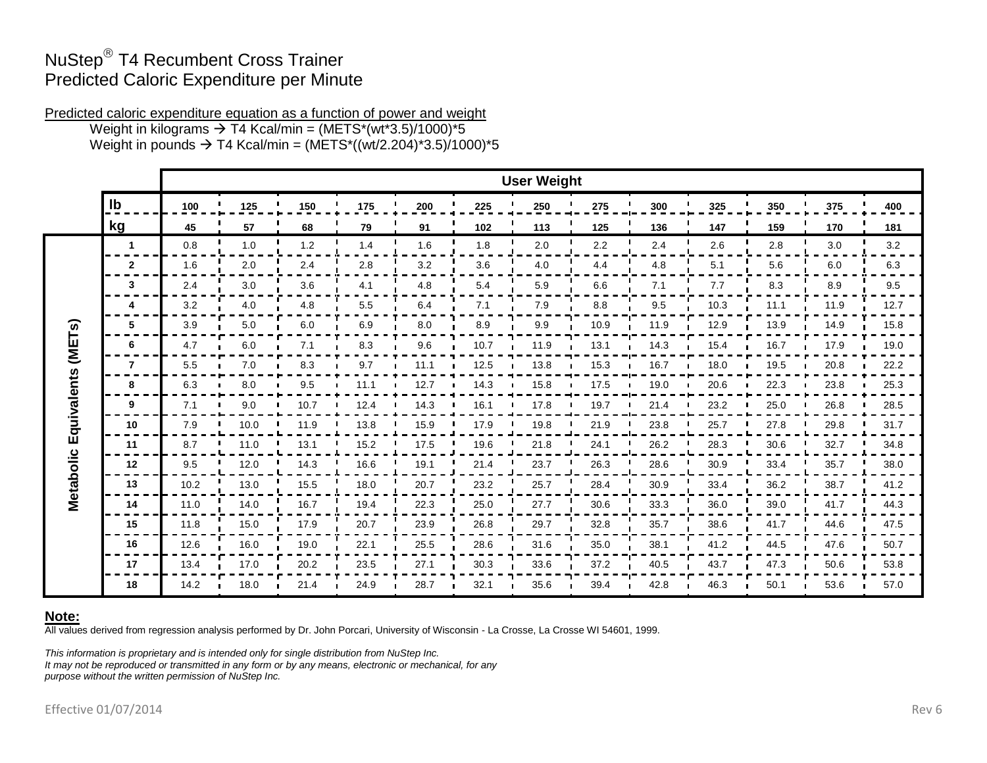## NuStep® T4 Recumbent Cross Trainer Predicted Caloric Expenditure per Minute

Predicted caloric expenditure equation as a function of power and weight

Weight in kilograms  $\rightarrow$  T4 Kcal/min = (METS\*(wt\*3.5)/1000)\*5 Weight in pounds  $\rightarrow$  T4 Kcal/min = (METS\*((wt/2.204)\*3.5)/1000)\*5

|                                 |                | <b>User Weight</b> |      |       |      |      |      |      |      |      |      |      |      |      |
|---------------------------------|----------------|--------------------|------|-------|------|------|------|------|------|------|------|------|------|------|
|                                 | $\mathsf{lb}$  | 100                | 125  | 150   | 175  | 200  | 225  | 250  | 275  | 300  | 325  | 350  | 375  | 400  |
|                                 | kg             | 45                 | 57   | 68    | 79   | 91   | 102  | 113  | 125  | 136  | 147  | 159  | 170  | 181  |
|                                 | 1              | 0.8                | 1.0  | $1.2$ | 1.4  | 1.6  | 1.8  | 2.0  | 2.2  | 2.4  | 2.6  | 2.8  | 3.0  | 3.2  |
|                                 | $\mathbf{2}$   | 1.6                | 2.0  | 2.4   | 2.8  | 3.2  | 3.6  | 4.0  | 4.4  | 4.8  | 5.1  | 5.6  | 6.0  | 6.3  |
|                                 | 3              | 2.4                | 3.0  | 3.6   | 4.1  | 4.8  | 5.4  | 5.9  | 6.6  | 7.1  | 7.7  | 8.3  | 8.9  | 9.5  |
|                                 | 4              | 3.2                | 4.0  | 4.8   | 5.5  | 6.4  | 7.1  | 7.9  | 8.8  | 9.5  | 10.3 | 11.1 | 11.9 | 12.7 |
|                                 | 5              | 3.9                | 5.0  | 6.0   | 6.9  | 8.0  | 8.9  | 9.9  | 10.9 | 11.9 | 12.9 | 13.9 | 14.9 | 15.8 |
| (METs)<br>Metabolic Equivalents | 6              | 4.7                | 6.0  | 7.1   | 8.3  | 9.6  | 10.7 | 11.9 | 13.1 | 14.3 | 15.4 | 16.7 | 17.9 | 19.0 |
|                                 | $\overline{7}$ | 5.5                | 7.0  | 8.3   | 9.7  | 11.1 | 12.5 | 13.8 | 15.3 | 16.7 | 18.0 | 19.5 | 20.8 | 22.2 |
|                                 | 8              | 6.3                | 8.0  | 9.5   | 11.1 | 12.7 | 14.3 | 15.8 | 17.5 | 19.0 | 20.6 | 22.3 | 23.8 | 25.3 |
|                                 | 9              | 7.1                | 9.0  | 10.7  | 12.4 | 14.3 | 16.1 | 17.8 | 19.7 | 21.4 | 23.2 | 25.0 | 26.8 | 28.5 |
|                                 | 10             | 7.9                | 10.0 | 11.9  | 13.8 | 15.9 | 17.9 | 19.8 | 21.9 | 23.8 | 25.7 | 27.8 | 29.8 | 31.7 |
|                                 | 11             | 8.7                | 11.0 | 13.1  | 15.2 | 17.5 | 19.6 | 21.8 | 24.1 | 26.2 | 28.3 | 30.6 | 32.7 | 34.8 |
|                                 | 12             | 9.5                | 12.0 | 14.3  | 16.6 | 19.1 | 21.4 | 23.7 | 26.3 | 28.6 | 30.9 | 33.4 | 35.7 | 38.0 |
|                                 | 13             | 10.2               | 13.0 | 15.5  | 18.0 | 20.7 | 23.2 | 25.7 | 28.4 | 30.9 | 33.4 | 36.2 | 38.7 | 41.2 |
|                                 | 14             | 11.0               | 14.0 | 16.7  | 19.4 | 22.3 | 25.0 | 27.7 | 30.6 | 33.3 | 36.0 | 39.0 | 41.7 | 44.3 |
|                                 | 15             | 11.8               | 15.0 | 17.9  | 20.7 | 23.9 | 26.8 | 29.7 | 32.8 | 35.7 | 38.6 | 41.7 | 44.6 | 47.5 |
|                                 | 16             | 12.6               | 16.0 | 19.0  | 22.1 | 25.5 | 28.6 | 31.6 | 35.0 | 38.1 | 41.2 | 44.5 | 47.6 | 50.7 |
|                                 | 17             | 13.4               | 17.0 | 20.2  | 23.5 | 27.1 | 30.3 | 33.6 | 37.2 | 40.5 | 43.7 | 47.3 | 50.6 | 53.8 |
|                                 | 18             | 14.2               | 18.0 | 21.4  | 24.9 | 28.7 | 32.1 | 35.6 | 39.4 | 42.8 | 46.3 | 50.1 | 53.6 | 57.0 |

## **Note:**

All values derived from regression analysis performed by Dr. John Porcari, University of Wisconsin - La Crosse, La Crosse WI 54601, 1999.

*This information is proprietary and is intended only for single distribution from NuStep Inc. It may not be reproduced or transmitted in any form or by any means, electronic or mechanical, for any purpose without the written permission of NuStep Inc.*